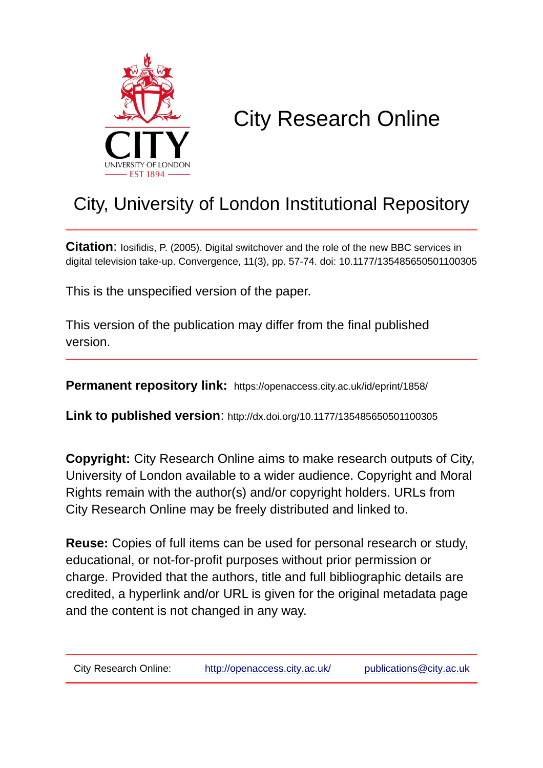

# City Research Online

# City, University of London Institutional Repository

**Citation:** Iosifidis, P. (2005). Digital switchover and the role of the new BBC services in digital television take-up. Convergence, 11(3), pp. 57-74. doi: 10.1177/135485650501100305

This is the unspecified version of the paper.

This version of the publication may differ from the final published version.

**Permanent repository link:** https://openaccess.city.ac.uk/id/eprint/1858/

**Link to published version**: http://dx.doi.org/10.1177/135485650501100305

**Copyright:** City Research Online aims to make research outputs of City, University of London available to a wider audience. Copyright and Moral Rights remain with the author(s) and/or copyright holders. URLs from City Research Online may be freely distributed and linked to.

**Reuse:** Copies of full items can be used for personal research or study, educational, or not-for-profit purposes without prior permission or charge. Provided that the authors, title and full bibliographic details are credited, a hyperlink and/or URL is given for the original metadata page and the content is not changed in any way.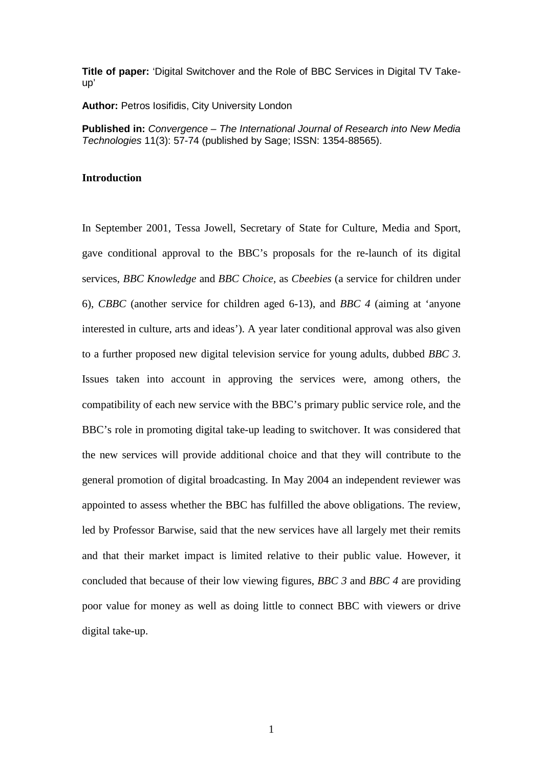**Title of paper:** 'Digital Switchover and the Role of BBC Services in Digital TV Takeup'

**Author:** Petros Iosifidis, City University London

**Published in:** *Convergence – The International Journal of Research into New Media Technologies* 11(3): 57-74 (published by Sage; ISSN: 1354-88565).

# **Introduction**

In September 2001, Tessa Jowell, Secretary of State for Culture, Media and Sport, gave conditional approval to the BBC's proposals for the re-launch of its digital services, *BBC Knowledge* and *BBC Choice,* as *Cbeebies* (a service for children under 6), *CBBC* (another service for children aged 6-13), and *BBC 4* (aiming at 'anyone interested in culture, arts and ideas'). A year later conditional approval was also given to a further proposed new digital television service for young adults, dubbed *BBC 3*. Issues taken into account in approving the services were, among others, the compatibility of each new service with the BBC's primary public service role, and the BBC's role in promoting digital take-up leading to switchover. It was considered that the new services will provide additional choice and that they will contribute to the general promotion of digital broadcasting. In May 2004 an independent reviewer was appointed to assess whether the BBC has fulfilled the above obligations. The review, led by Professor Barwise, said that the new services have all largely met their remits and that their market impact is limited relative to their public value. However, it concluded that because of their low viewing figures, *BBC 3* and *BBC 4* are providing poor value for money as well as doing little to connect BBC with viewers or drive digital take-up.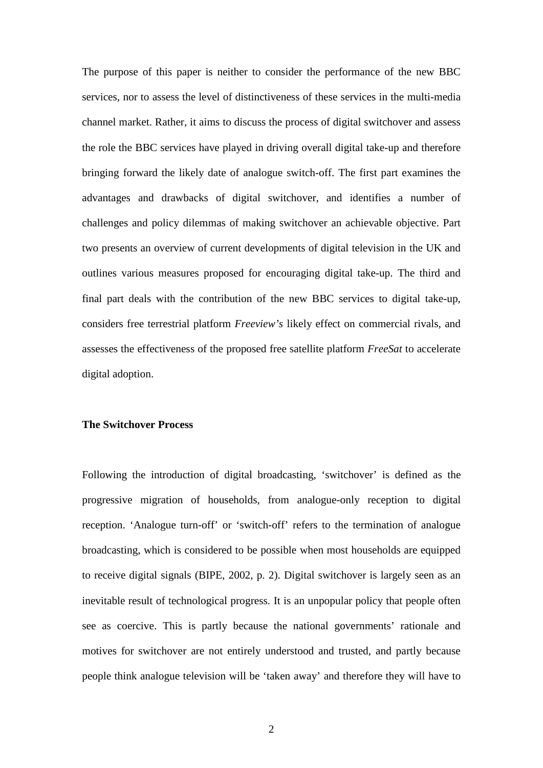The purpose of this paper is neither to consider the performance of the new BBC services, nor to assess the level of distinctiveness of these services in the multi-media channel market. Rather, it aims to discuss the process of digital switchover and assess the role the BBC services have played in driving overall digital take-up and therefore bringing forward the likely date of analogue switch-off. The first part examines the advantages and drawbacks of digital switchover, and identifies a number of challenges and policy dilemmas of making switchover an achievable objective. Part two presents an overview of current developments of digital television in the UK and outlines various measures proposed for encouraging digital take-up. The third and final part deals with the contribution of the new BBC services to digital take-up, considers free terrestrial platform *Freeview's* likely effect on commercial rivals, and assesses the effectiveness of the proposed free satellite platform *FreeSat* to accelerate digital adoption.

### **The Switchover Process**

Following the introduction of digital broadcasting, 'switchover' is defined as the progressive migration of households, from analogue-only reception to digital reception. 'Analogue turn-off' or 'switch-off' refers to the termination of analogue broadcasting, which is considered to be possible when most households are equipped to receive digital signals (BIPE, 2002, p. 2). Digital switchover is largely seen as an inevitable result of technological progress. It is an unpopular policy that people often see as coercive. This is partly because the national governments' rationale and motives for switchover are not entirely understood and trusted, and partly because people think analogue television will be 'taken away' and therefore they will have to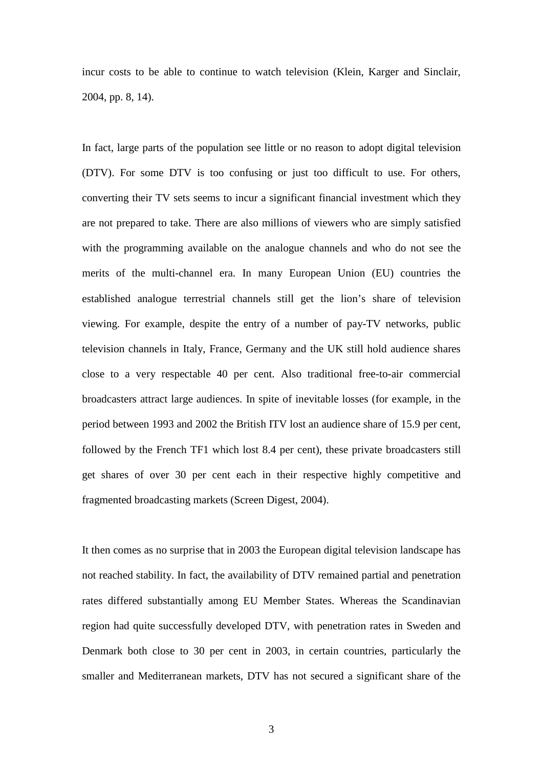incur costs to be able to continue to watch television (Klein, Karger and Sinclair, 2004, pp. 8, 14).

In fact, large parts of the population see little or no reason to adopt digital television (DTV). For some DTV is too confusing or just too difficult to use. For others, converting their TV sets seems to incur a significant financial investment which they are not prepared to take. There are also millions of viewers who are simply satisfied with the programming available on the analogue channels and who do not see the merits of the multi-channel era. In many European Union (EU) countries the established analogue terrestrial channels still get the lion's share of television viewing. For example, despite the entry of a number of pay-TV networks, public television channels in Italy, France, Germany and the UK still hold audience shares close to a very respectable 40 per cent. Also traditional free-to-air commercial broadcasters attract large audiences. In spite of inevitable losses (for example, in the period between 1993 and 2002 the British ITV lost an audience share of 15.9 per cent, followed by the French TF1 which lost 8.4 per cent), these private broadcasters still get shares of over 30 per cent each in their respective highly competitive and fragmented broadcasting markets (Screen Digest, 2004).

It then comes as no surprise that in 2003 the European digital television landscape has not reached stability. In fact, the availability of DTV remained partial and penetration rates differed substantially among EU Member States. Whereas the Scandinavian region had quite successfully developed DTV, with penetration rates in Sweden and Denmark both close to 30 per cent in 2003, in certain countries, particularly the smaller and Mediterranean markets, DTV has not secured a significant share of the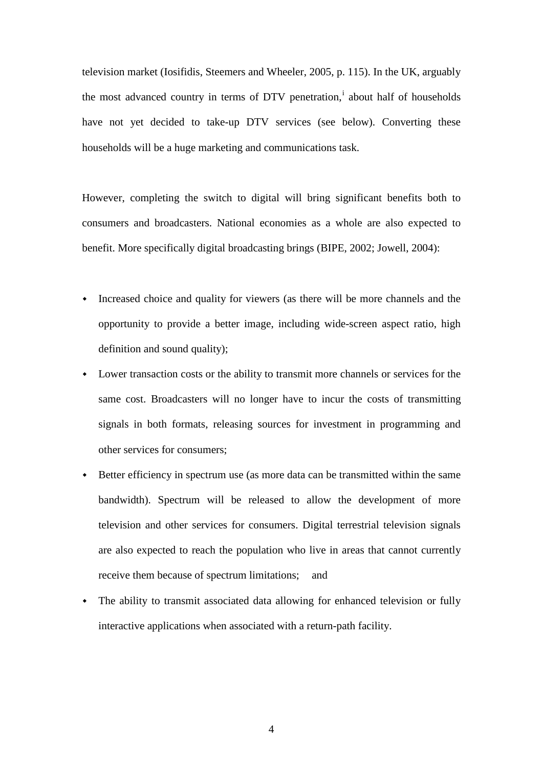television market (Iosifidis, Steemers and Wheeler, 2005, p. 115). In the UK, arguably the most advanced country [i](#page-33-0)n terms of  $DTV$  penetration,<sup>i</sup> about half of households have not yet decided to take-up DTV services (see below). Converting these households will be a huge marketing and communications task.

However, completing the switch to digital will bring significant benefits both to consumers and broadcasters. National economies as a whole are also expected to benefit. More specifically digital broadcasting brings (BIPE, 2002; Jowell, 2004):

- Increased choice and quality for viewers (as there will be more channels and the opportunity to provide a better image, including wide-screen aspect ratio, high definition and sound quality);
- Lower transaction costs or the ability to transmit more channels or services for the same cost. Broadcasters will no longer have to incur the costs of transmitting signals in both formats, releasing sources for investment in programming and other services for consumers;
- Better efficiency in spectrum use (as more data can be transmitted within the same bandwidth). Spectrum will be released to allow the development of more television and other services for consumers. Digital terrestrial television signals are also expected to reach the population who live in areas that cannot currently receive them because of spectrum limitations; and
- The ability to transmit associated data allowing for enhanced television or fully interactive applications when associated with a return-path facility.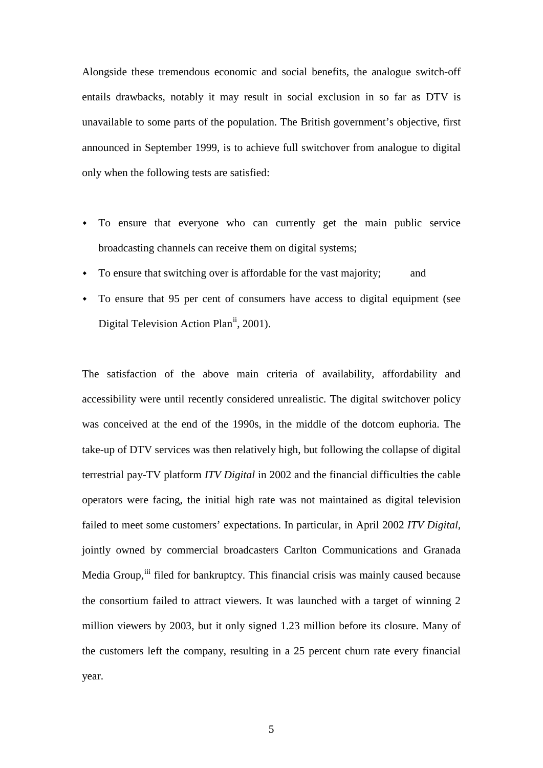Alongside these tremendous economic and social benefits, the analogue switch-off entails drawbacks, notably it may result in social exclusion in so far as DTV is unavailable to some parts of the population. The British government's objective, first announced in September 1999, is to achieve full switchover from analogue to digital only when the following tests are satisfied:

- To ensure that everyone who can currently get the main public service broadcasting channels can receive them on digital systems;
- To ensure that switching over is affordable for the vast majority; and
- To ensure that 95 per cent of consumers have access to digital equipment (see Digital Television Action Plan<sup>[ii](#page-33-1)</sup>, 2001).

The satisfaction of the above main criteria of availability, affordability and accessibility were until recently considered unrealistic. The digital switchover policy was conceived at the end of the 1990s, in the middle of the dotcom euphoria. The take-up of DTV services was then relatively high, but following the collapse of digital terrestrial pay-TV platform *ITV Digital* in 2002 and the financial difficulties the cable operators were facing, the initial high rate was not maintained as digital television failed to meet some customers' expectations. In particular, in April 2002 *ITV Digital*, jointly owned by commercial broadcasters Carlton Communications and Granada Media Group, [iii](#page-33-2) filed for bankruptcy. This financial crisis was mainly caused because the consortium failed to attract viewers. It was launched with a target of winning 2 million viewers by 2003, but it only signed 1.23 million before its closure. Many of the customers left the company, resulting in a 25 percent churn rate every financial year.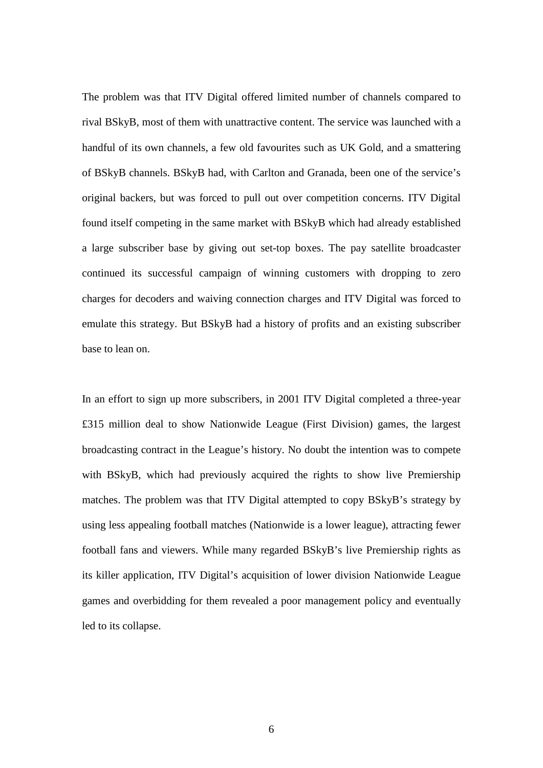The problem was that ITV Digital offered limited number of channels compared to rival BSkyB, most of them with unattractive content. The service was launched with a handful of its own channels, a few old favourites such as UK Gold, and a smattering of BSkyB channels. BSkyB had, with Carlton and Granada, been one of the service's original backers, but was forced to pull out over competition concerns. ITV Digital found itself competing in the same market with BSkyB which had already established a large subscriber base by giving out set-top boxes. The pay satellite broadcaster continued its successful campaign of winning customers with dropping to zero charges for decoders and waiving connection charges and ITV Digital was forced to emulate this strategy. But BSkyB had a history of profits and an existing subscriber base to lean on.

In an effort to sign up more subscribers, in 2001 ITV Digital completed a three-year £315 million deal to show Nationwide League (First Division) games, the largest broadcasting contract in the League's history. No doubt the intention was to compete with BSkyB, which had previously acquired the rights to show live Premiership matches. The problem was that ITV Digital attempted to copy BSkyB's strategy by using less appealing football matches (Nationwide is a lower league), attracting fewer football fans and viewers. While many regarded BSkyB's live Premiership rights as its killer application, ITV Digital's acquisition of lower division Nationwide League games and overbidding for them revealed a poor management policy and eventually led to its collapse.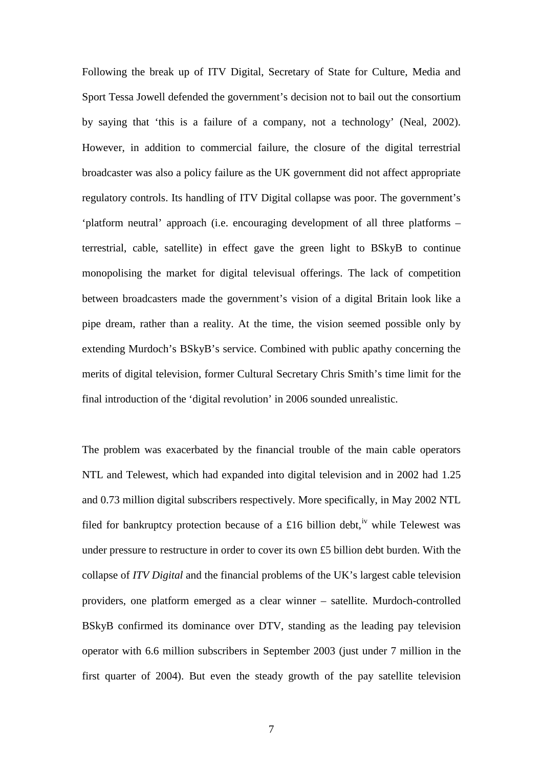Following the break up of ITV Digital, Secretary of State for Culture, Media and Sport Tessa Jowell defended the government's decision not to bail out the consortium by saying that 'this is a failure of a company, not a technology' (Neal, 2002). However, in addition to commercial failure, the closure of the digital terrestrial broadcaster was also a policy failure as the UK government did not affect appropriate regulatory controls. Its handling of ITV Digital collapse was poor. The government's 'platform neutral' approach (i.e. encouraging development of all three platforms – terrestrial, cable, satellite) in effect gave the green light to BSkyB to continue monopolising the market for digital televisual offerings. The lack of competition between broadcasters made the government's vision of a digital Britain look like a pipe dream, rather than a reality. At the time, the vision seemed possible only by extending Murdoch's BSkyB's service. Combined with public apathy concerning the merits of digital television, former Cultural Secretary Chris Smith's time limit for the final introduction of the 'digital revolution' in 2006 sounded unrealistic.

The problem was exacerbated by the financial trouble of the main cable operators NTL and Telewest, which had expanded into digital television and in 2002 had 1.25 and 0.73 million digital subscribers respectively. More specifically, in May 2002 NTL filed for bankruptcy protection because of a £16 billion debt, <sup>[iv](#page-33-3)</sup> while Telewest was under pressure to restructure in order to cover its own £5 billion debt burden. With the collapse of *ITV Digital* and the financial problems of the UK's largest cable television providers, one platform emerged as a clear winner – satellite. Murdoch-controlled BSkyB confirmed its dominance over DTV, standing as the leading pay television operator with 6.6 million subscribers in September 2003 (just under 7 million in the first quarter of 2004). But even the steady growth of the pay satellite television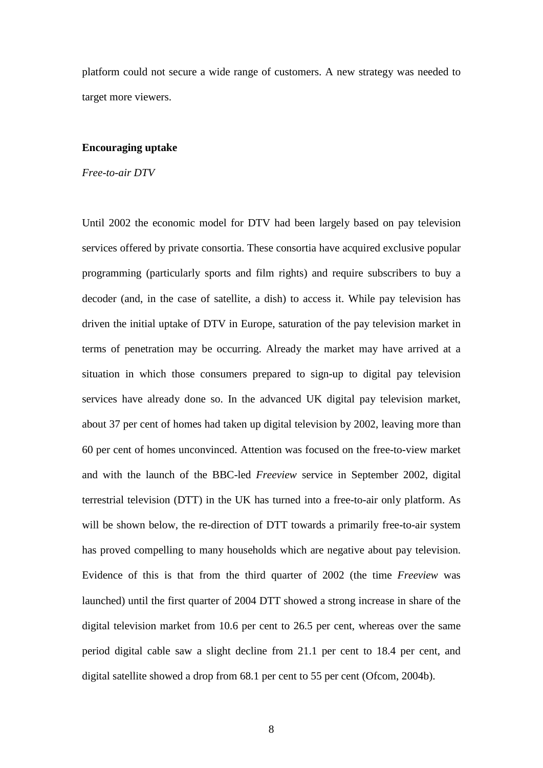platform could not secure a wide range of customers. A new strategy was needed to target more viewers.

#### **Encouraging uptake**

*Free-to-air DTV*

Until 2002 the economic model for DTV had been largely based on pay television services offered by private consortia. These consortia have acquired exclusive popular programming (particularly sports and film rights) and require subscribers to buy a decoder (and, in the case of satellite, a dish) to access it. While pay television has driven the initial uptake of DTV in Europe, saturation of the pay television market in terms of penetration may be occurring. Already the market may have arrived at a situation in which those consumers prepared to sign-up to digital pay television services have already done so. In the advanced UK digital pay television market, about 37 per cent of homes had taken up digital television by 2002, leaving more than 60 per cent of homes unconvinced. Attention was focused on the free-to-view market and with the launch of the BBC-led *Freeview* service in September 2002, digital terrestrial television (DTT) in the UK has turned into a free-to-air only platform. As will be shown below, the re-direction of DTT towards a primarily free-to-air system has proved compelling to many households which are negative about pay television. Evidence of this is that from the third quarter of 2002 (the time *Freeview* was launched) until the first quarter of 2004 DTT showed a strong increase in share of the digital television market from 10.6 per cent to 26.5 per cent, whereas over the same period digital cable saw a slight decline from 21.1 per cent to 18.4 per cent, and digital satellite showed a drop from 68.1 per cent to 55 per cent (Ofcom, 2004b).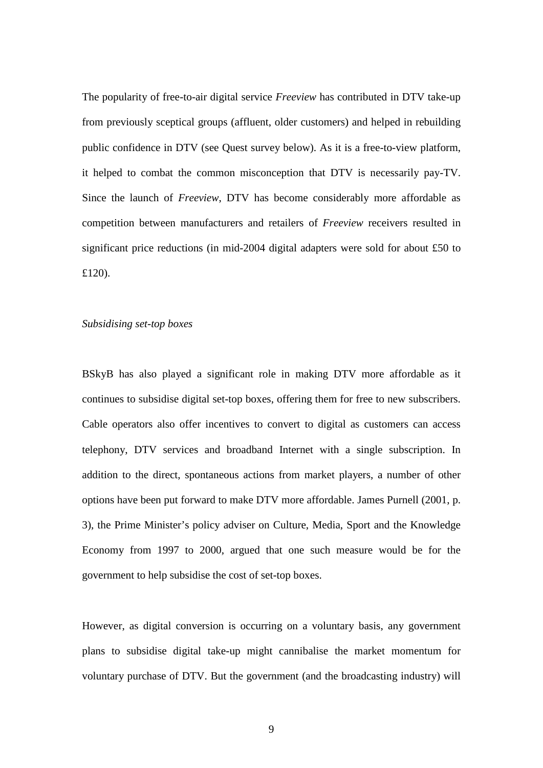The popularity of free-to-air digital service *Freeview* has contributed in DTV take-up from previously sceptical groups (affluent, older customers) and helped in rebuilding public confidence in DTV (see Quest survey below). As it is a free-to-view platform, it helped to combat the common misconception that DTV is necessarily pay-TV. Since the launch of *Freeview*, DTV has become considerably more affordable as competition between manufacturers and retailers of *Freeview* receivers resulted in significant price reductions (in mid-2004 digital adapters were sold for about £50 to £120).

# *Subsidising set-top boxes*

BSkyB has also played a significant role in making DTV more affordable as it continues to subsidise digital set-top boxes, offering them for free to new subscribers. Cable operators also offer incentives to convert to digital as customers can access telephony, DTV services and broadband Internet with a single subscription. In addition to the direct, spontaneous actions from market players, a number of other options have been put forward to make DTV more affordable. James Purnell (2001, p. 3), the Prime Minister's policy adviser on Culture, Media, Sport and the Knowledge Economy from 1997 to 2000, argued that one such measure would be for the government to help subsidise the cost of set-top boxes.

However, as digital conversion is occurring on a voluntary basis, any government plans to subsidise digital take-up might cannibalise the market momentum for voluntary purchase of DTV. But the government (and the broadcasting industry) will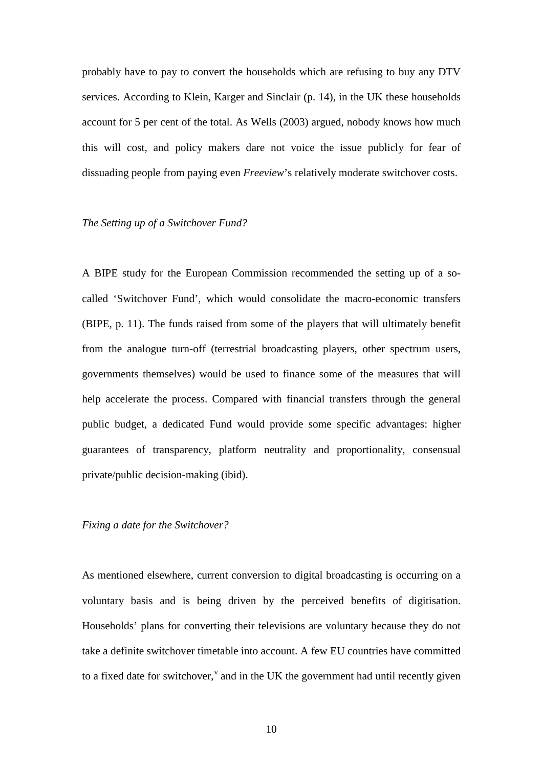probably have to pay to convert the households which are refusing to buy any DTV services. According to Klein, Karger and Sinclair (p. 14), in the UK these households account for 5 per cent of the total. As Wells (2003) argued, nobody knows how much this will cost, and policy makers dare not voice the issue publicly for fear of dissuading people from paying even *Freeview*'s relatively moderate switchover costs.

#### *The Setting up of a Switchover Fund?*

A BIPE study for the European Commission recommended the setting up of a socalled 'Switchover Fund', which would consolidate the macro-economic transfers (BIPE, p. 11). The funds raised from some of the players that will ultimately benefit from the analogue turn-off (terrestrial broadcasting players, other spectrum users, governments themselves) would be used to finance some of the measures that will help accelerate the process. Compared with financial transfers through the general public budget, a dedicated Fund would provide some specific advantages: higher guarantees of transparency, platform neutrality and proportionality, consensual private/public decision-making (ibid).

### *Fixing a date for the Switchover?*

As mentioned elsewhere, current conversion to digital broadcasting is occurring on a voluntary basis and is being driven by the perceived benefits of digitisation. Households' plans for converting their televisions are voluntary because they do not take a definite switchover timetable into account. A few EU countries have committed to a fixed date for switcho[v](#page-33-4)er,  $\theta$  and in the UK the government had until recently given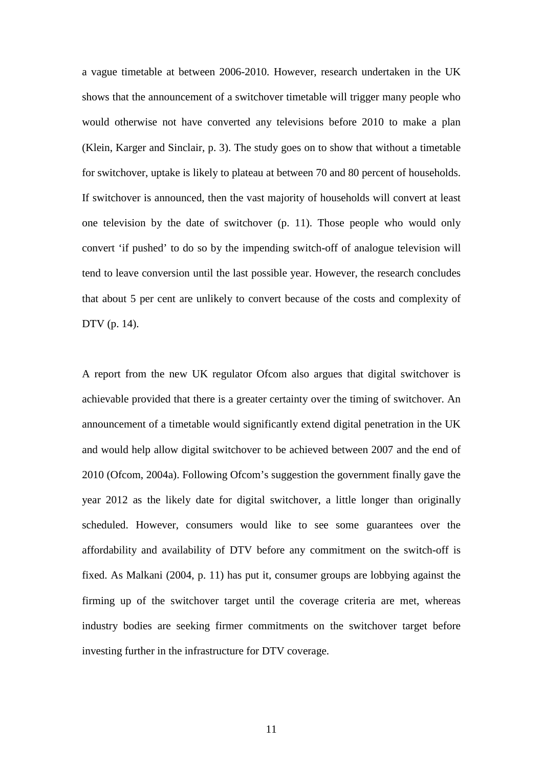a vague timetable at between 2006-2010. However, research undertaken in the UK shows that the announcement of a switchover timetable will trigger many people who would otherwise not have converted any televisions before 2010 to make a plan (Klein, Karger and Sinclair, p. 3). The study goes on to show that without a timetable for switchover, uptake is likely to plateau at between 70 and 80 percent of households. If switchover is announced, then the vast majority of households will convert at least one television by the date of switchover (p. 11). Those people who would only convert 'if pushed' to do so by the impending switch-off of analogue television will tend to leave conversion until the last possible year. However, the research concludes that about 5 per cent are unlikely to convert because of the costs and complexity of DTV (p. 14).

A report from the new UK regulator Ofcom also argues that digital switchover is achievable provided that there is a greater certainty over the timing of switchover. An announcement of a timetable would significantly extend digital penetration in the UK and would help allow digital switchover to be achieved between 2007 and the end of 2010 (Ofcom, 2004a). Following Ofcom's suggestion the government finally gave the year 2012 as the likely date for digital switchover, a little longer than originally scheduled. However, consumers would like to see some guarantees over the affordability and availability of DTV before any commitment on the switch-off is fixed. As Malkani (2004, p. 11) has put it, consumer groups are lobbying against the firming up of the switchover target until the coverage criteria are met, whereas industry bodies are seeking firmer commitments on the switchover target before investing further in the infrastructure for DTV coverage.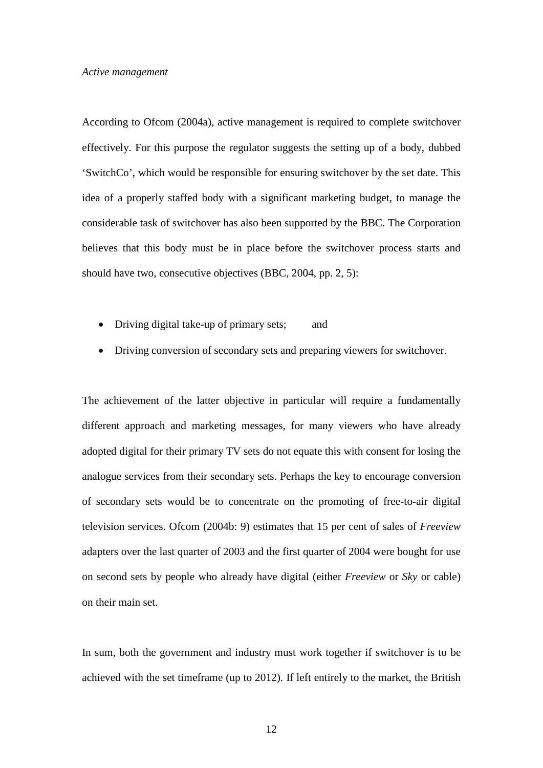According to Ofcom (2004a), active management is required to complete switchover effectively. For this purpose the regulator suggests the setting up of a body, dubbed 'SwitchCo', which would be responsible for ensuring switchover by the set date. This idea of a properly staffed body with a significant marketing budget, to manage the considerable task of switchover has also been supported by the BBC. The Corporation believes that this body must be in place before the switchover process starts and should have two, consecutive objectives (BBC, 2004, pp. 2, 5):

- Driving digital take-up of primary sets; and
- Driving conversion of secondary sets and preparing viewers for switchover.

The achievement of the latter objective in particular will require a fundamentally different approach and marketing messages, for many viewers who have already adopted digital for their primary TV sets do not equate this with consent for losing the analogue services from their secondary sets. Perhaps the key to encourage conversion of secondary sets would be to concentrate on the promoting of free-to-air digital television services. Ofcom (2004b: 9) estimates that 15 per cent of sales of *Freeview* adapters over the last quarter of 2003 and the first quarter of 2004 were bought for use on second sets by people who already have digital (either *Freeview* or *Sky* or cable) on their main set.

In sum, both the government and industry must work together if switchover is to be achieved with the set timeframe (up to 2012). If left entirely to the market, the British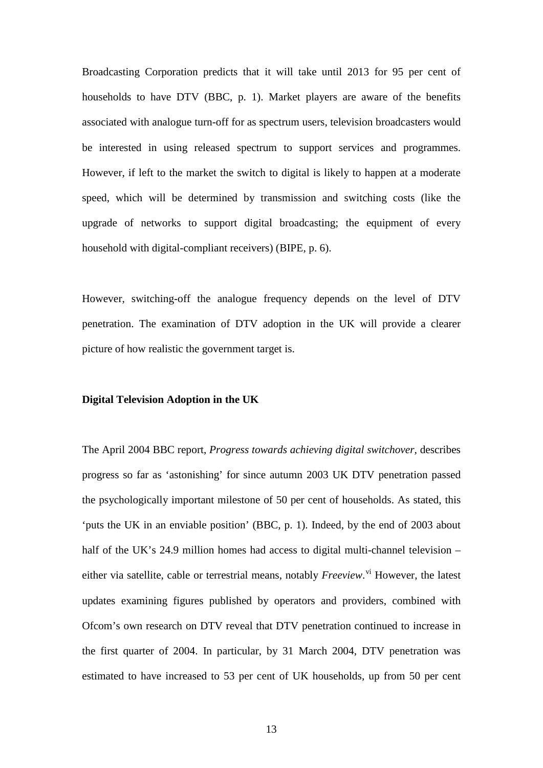Broadcasting Corporation predicts that it will take until 2013 for 95 per cent of households to have DTV (BBC, p. 1). Market players are aware of the benefits associated with analogue turn-off for as spectrum users, television broadcasters would be interested in using released spectrum to support services and programmes. However, if left to the market the switch to digital is likely to happen at a moderate speed, which will be determined by transmission and switching costs (like the upgrade of networks to support digital broadcasting; the equipment of every household with digital-compliant receivers) (BIPE, p. 6).

However, switching-off the analogue frequency depends on the level of DTV penetration. The examination of DTV adoption in the UK will provide a clearer picture of how realistic the government target is.

#### **Digital Television Adoption in the UK**

The April 2004 BBC report, *Progress towards achieving digital switchover,* describes progress so far as 'astonishing' for since autumn 2003 UK DTV penetration passed the psychologically important milestone of 50 per cent of households. As stated, this 'puts the UK in an enviable position' (BBC, p. 1). Indeed, by the end of 2003 about half of the UK's 24.9 million homes had access to digital multi-channel television – either [vi](#page-33-5)a satellite, cable or terrestrial means, notably *Freeview*.<sup>vi</sup> However, the latest updates examining figures published by operators and providers, combined with Ofcom's own research on DTV reveal that DTV penetration continued to increase in the first quarter of 2004. In particular, by 31 March 2004, DTV penetration was estimated to have increased to 53 per cent of UK households, up from 50 per cent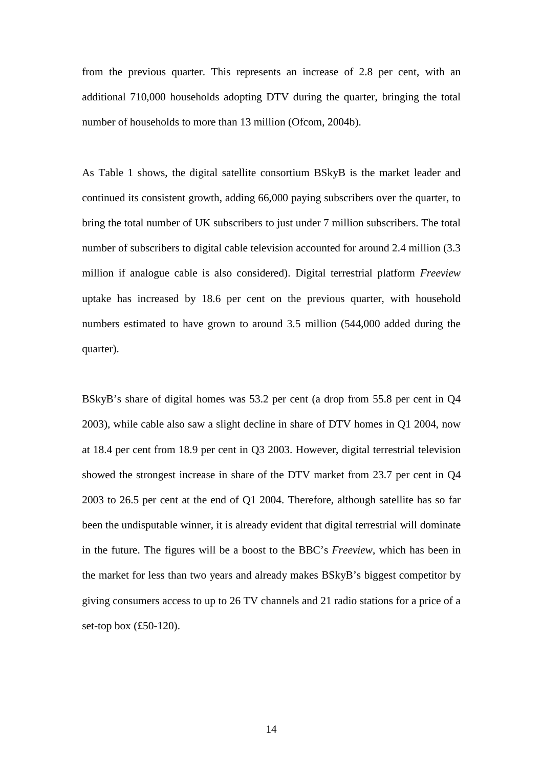from the previous quarter. This represents an increase of 2.8 per cent, with an additional 710,000 households adopting DTV during the quarter, bringing the total number of households to more than 13 million (Ofcom, 2004b).

As Table 1 shows, the digital satellite consortium BSkyB is the market leader and continued its consistent growth, adding 66,000 paying subscribers over the quarter, to bring the total number of UK subscribers to just under 7 million subscribers. The total number of subscribers to digital cable television accounted for around 2.4 million (3.3 million if analogue cable is also considered). Digital terrestrial platform *Freeview*  uptake has increased by 18.6 per cent on the previous quarter, with household numbers estimated to have grown to around 3.5 million (544,000 added during the quarter).

BSkyB's share of digital homes was 53.2 per cent (a drop from 55.8 per cent in Q4 2003), while cable also saw a slight decline in share of DTV homes in Q1 2004, now at 18.4 per cent from 18.9 per cent in Q3 2003. However, digital terrestrial television showed the strongest increase in share of the DTV market from 23.7 per cent in Q4 2003 to 26.5 per cent at the end of Q1 2004. Therefore, although satellite has so far been the undisputable winner, it is already evident that digital terrestrial will dominate in the future. The figures will be a boost to the BBC's *Freeview*, which has been in the market for less than two years and already makes BSkyB's biggest competitor by giving consumers access to up to 26 TV channels and 21 radio stations for a price of a set-top box (£50-120).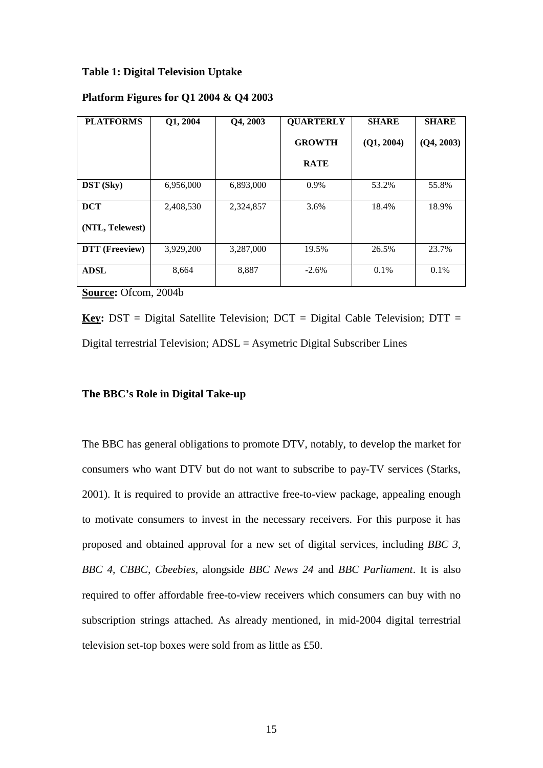#### **Table 1: Digital Television Uptake**

#### **Platform Figures for Q1 2004 & Q4 2003**

| <b>PLATFORMS</b> | Q1, 2004  | Q4, 2003  | <b>QUARTERLY</b> | <b>SHARE</b> | <b>SHARE</b> |
|------------------|-----------|-----------|------------------|--------------|--------------|
|                  |           |           | <b>GROWTH</b>    | (Q1, 2004)   | (Q4, 2003)   |
|                  |           |           | <b>RATE</b>      |              |              |
| <b>DST</b> (Sky) | 6,956,000 | 6,893,000 | 0.9%             | 53.2%        | 55.8%        |
| <b>DCT</b>       | 2,408,530 | 2,324,857 | 3.6%             | 18.4%        | 18.9%        |
| (NTL, Telewest)  |           |           |                  |              |              |
| DTT (Freeview)   | 3,929,200 | 3,287,000 | 19.5%            | 26.5%        | 23.7%        |
| <b>ADSL</b>      | 8,664     | 8,887     | $-2.6\%$         | 0.1%         | $0.1\%$      |

**Source:** Ofcom, 2004b

**Key:** DST = Digital Satellite Television; DCT = Digital Cable Television; DTT = Digital terrestrial Television; ADSL = Asymetric Digital Subscriber Lines

# **The BBC's Role in Digital Take-up**

The BBC has general obligations to promote DTV, notably, to develop the market for consumers who want DTV but do not want to subscribe to pay-TV services (Starks, 2001). It is required to provide an attractive free-to-view package, appealing enough to motivate consumers to invest in the necessary receivers. For this purpose it has proposed and obtained approval for a new set of digital services, including *BBC 3, BBC 4, CBBC, Cbeebies,* alongside *BBC News 24* and *BBC Parliament*. It is also required to offer affordable free-to-view receivers which consumers can buy with no subscription strings attached. As already mentioned, in mid-2004 digital terrestrial television set-top boxes were sold from as little as £50.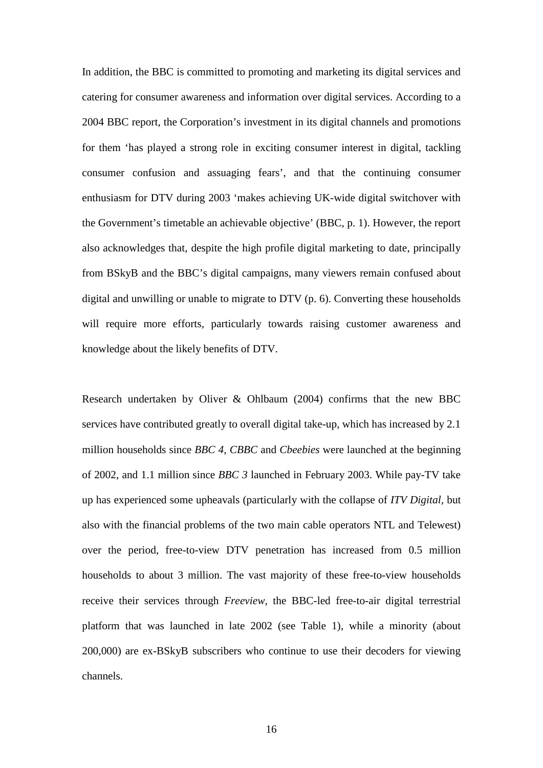In addition, the BBC is committed to promoting and marketing its digital services and catering for consumer awareness and information over digital services. According to a 2004 BBC report, the Corporation's investment in its digital channels and promotions for them 'has played a strong role in exciting consumer interest in digital, tackling consumer confusion and assuaging fears', and that the continuing consumer enthusiasm for DTV during 2003 'makes achieving UK-wide digital switchover with the Government's timetable an achievable objective' (BBC, p. 1). However, the report also acknowledges that, despite the high profile digital marketing to date, principally from BSkyB and the BBC's digital campaigns, many viewers remain confused about digital and unwilling or unable to migrate to DTV (p. 6). Converting these households will require more efforts, particularly towards raising customer awareness and knowledge about the likely benefits of DTV.

Research undertaken by Oliver & Ohlbaum (2004) confirms that the new BBC services have contributed greatly to overall digital take-up, which has increased by 2.1 million households since *BBC 4, CBBC* and *Cbeebies* were launched at the beginning of 2002, and 1.1 million since *BBC 3* launched in February 2003. While pay-TV take up has experienced some upheavals (particularly with the collapse of *ITV Digital,* but also with the financial problems of the two main cable operators NTL and Telewest) over the period, free-to-view DTV penetration has increased from 0.5 million households to about 3 million. The vast majority of these free-to-view households receive their services through *Freeview,* the BBC-led free-to-air digital terrestrial platform that was launched in late 2002 (see Table 1), while a minority (about 200,000) are ex-BSkyB subscribers who continue to use their decoders for viewing channels.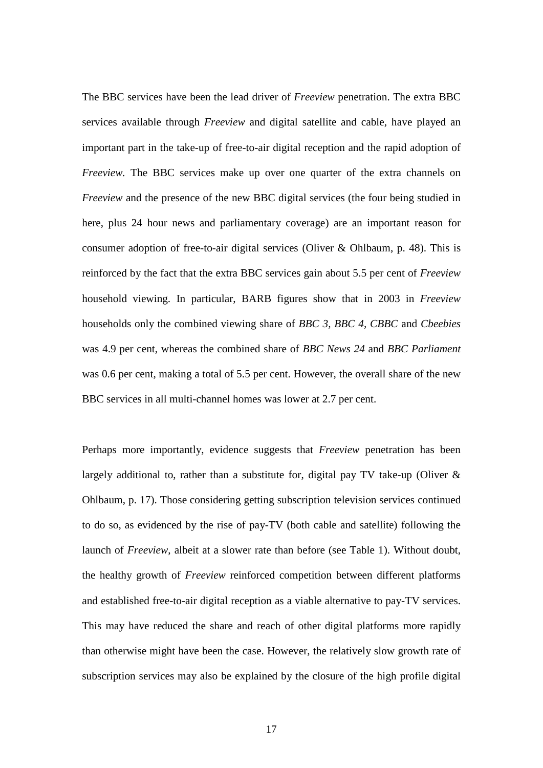The BBC services have been the lead driver of *Freeview* penetration. The extra BBC services available through *Freeview* and digital satellite and cable, have played an important part in the take-up of free-to-air digital reception and the rapid adoption of *Freeview.* The BBC services make up over one quarter of the extra channels on *Freeview* and the presence of the new BBC digital services (the four being studied in here, plus 24 hour news and parliamentary coverage) are an important reason for consumer adoption of free-to-air digital services (Oliver & Ohlbaum, p. 48). This is reinforced by the fact that the extra BBC services gain about 5.5 per cent of *Freeview* household viewing. In particular, BARB figures show that in 2003 in *Freeview* households only the combined viewing share of *BBC 3, BBC 4, CBBC* and *Cbeebies* was 4.9 per cent, whereas the combined share of *BBC News 24* and *BBC Parliament* was 0.6 per cent, making a total of 5.5 per cent. However, the overall share of the new BBC services in all multi-channel homes was lower at 2.7 per cent.

Perhaps more importantly, evidence suggests that *Freeview* penetration has been largely additional to, rather than a substitute for, digital pay TV take-up (Oliver  $\&$ Ohlbaum, p. 17). Those considering getting subscription television services continued to do so, as evidenced by the rise of pay-TV (both cable and satellite) following the launch of *Freeview*, albeit at a slower rate than before (see Table 1). Without doubt, the healthy growth of *Freeview* reinforced competition between different platforms and established free-to-air digital reception as a viable alternative to pay-TV services. This may have reduced the share and reach of other digital platforms more rapidly than otherwise might have been the case. However, the relatively slow growth rate of subscription services may also be explained by the closure of the high profile digital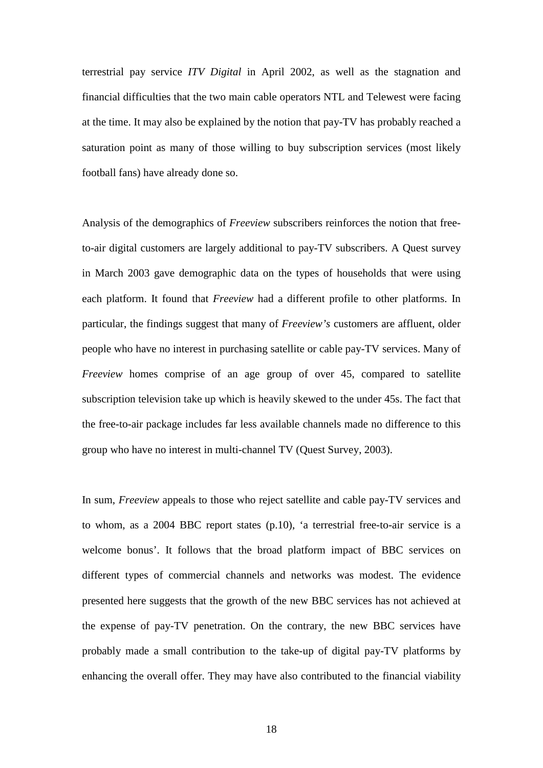terrestrial pay service *ITV Digital* in April 2002, as well as the stagnation and financial difficulties that the two main cable operators NTL and Telewest were facing at the time. It may also be explained by the notion that pay-TV has probably reached a saturation point as many of those willing to buy subscription services (most likely football fans) have already done so.

Analysis of the demographics of *Freeview* subscribers reinforces the notion that freeto-air digital customers are largely additional to pay-TV subscribers. A Quest survey in March 2003 gave demographic data on the types of households that were using each platform. It found that *Freeview* had a different profile to other platforms. In particular, the findings suggest that many of *Freeview's* customers are affluent, older people who have no interest in purchasing satellite or cable pay-TV services. Many of *Freeview* homes comprise of an age group of over 45, compared to satellite subscription television take up which is heavily skewed to the under 45s. The fact that the free-to-air package includes far less available channels made no difference to this group who have no interest in multi-channel TV (Quest Survey, 2003).

In sum, *Freeview* appeals to those who reject satellite and cable pay-TV services and to whom, as a 2004 BBC report states (p.10), 'a terrestrial free-to-air service is a welcome bonus'. It follows that the broad platform impact of BBC services on different types of commercial channels and networks was modest. The evidence presented here suggests that the growth of the new BBC services has not achieved at the expense of pay-TV penetration. On the contrary, the new BBC services have probably made a small contribution to the take-up of digital pay-TV platforms by enhancing the overall offer. They may have also contributed to the financial viability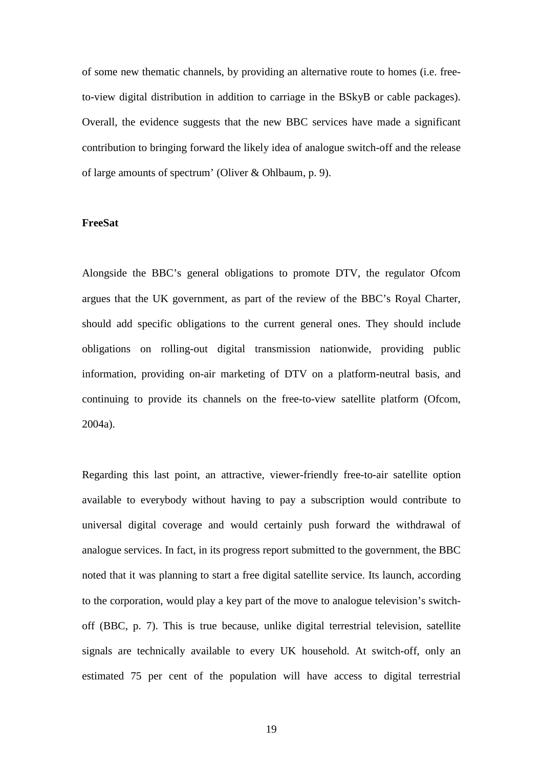of some new thematic channels, by providing an alternative route to homes (i.e. freeto-view digital distribution in addition to carriage in the BSkyB or cable packages). Overall, the evidence suggests that the new BBC services have made a significant contribution to bringing forward the likely idea of analogue switch-off and the release of large amounts of spectrum' (Oliver & Ohlbaum, p. 9).

# **FreeSat**

Alongside the BBC's general obligations to promote DTV, the regulator Ofcom argues that the UK government, as part of the review of the BBC's Royal Charter, should add specific obligations to the current general ones. They should include obligations on rolling-out digital transmission nationwide, providing public information, providing on-air marketing of DTV on a platform-neutral basis, and continuing to provide its channels on the free-to-view satellite platform (Ofcom, 2004a).

Regarding this last point, an attractive, viewer-friendly free-to-air satellite option available to everybody without having to pay a subscription would contribute to universal digital coverage and would certainly push forward the withdrawal of analogue services. In fact, in its progress report submitted to the government, the BBC noted that it was planning to start a free digital satellite service. Its launch, according to the corporation, would play a key part of the move to analogue television's switchoff (BBC, p. 7). This is true because, unlike digital terrestrial television, satellite signals are technically available to every UK household. At switch-off, only an estimated 75 per cent of the population will have access to digital terrestrial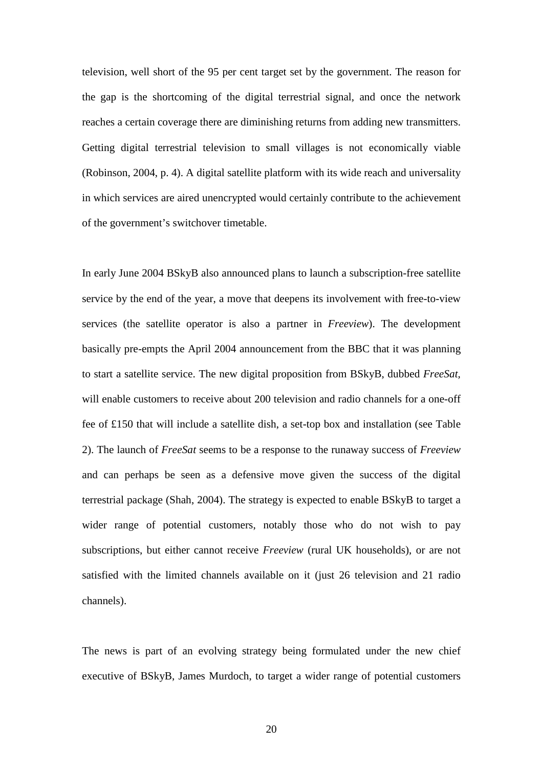television, well short of the 95 per cent target set by the government. The reason for the gap is the shortcoming of the digital terrestrial signal, and once the network reaches a certain coverage there are diminishing returns from adding new transmitters. Getting digital terrestrial television to small villages is not economically viable (Robinson, 2004, p. 4). A digital satellite platform with its wide reach and universality in which services are aired unencrypted would certainly contribute to the achievement of the government's switchover timetable.

In early June 2004 BSkyB also announced plans to launch a subscription-free satellite service by the end of the year, a move that deepens its involvement with free-to-view services (the satellite operator is also a partner in *Freeview*). The development basically pre-empts the April 2004 announcement from the BBC that it was planning to start a satellite service. The new digital proposition from BSkyB, dubbed *FreeSat,* will enable customers to receive about 200 television and radio channels for a one-off fee of £150 that will include a satellite dish, a set-top box and installation (see Table 2). The launch of *FreeSat* seems to be a response to the runaway success of *Freeview* and can perhaps be seen as a defensive move given the success of the digital terrestrial package (Shah, 2004). The strategy is expected to enable BSkyB to target a wider range of potential customers, notably those who do not wish to pay subscriptions, but either cannot receive *Freeview* (rural UK households), or are not satisfied with the limited channels available on it (just 26 television and 21 radio channels).

The news is part of an evolving strategy being formulated under the new chief executive of BSkyB, James Murdoch, to target a wider range of potential customers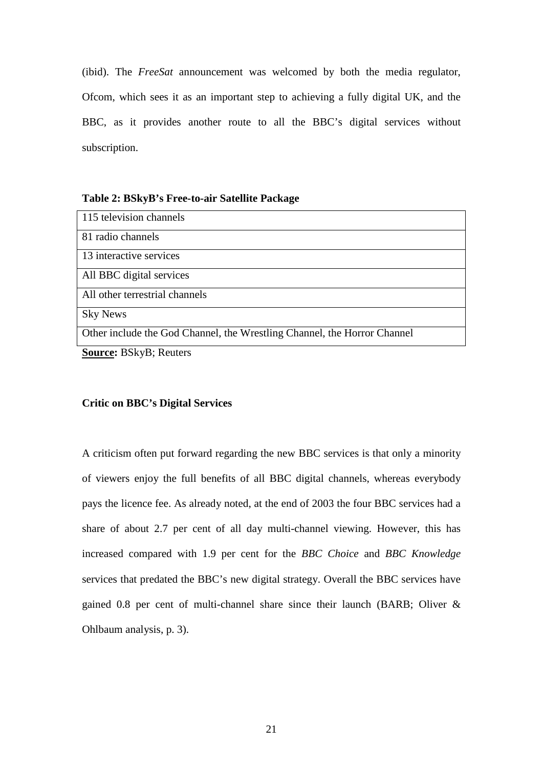(ibid). The *FreeSat* announcement was welcomed by both the media regulator, Ofcom, which sees it as an important step to achieving a fully digital UK, and the BBC, as it provides another route to all the BBC's digital services without subscription.

# **Table 2: BSkyB's Free-to-air Satellite Package**

| 115 television channels                                                  |  |  |
|--------------------------------------------------------------------------|--|--|
| 81 radio channels                                                        |  |  |
| 13 interactive services                                                  |  |  |
| All BBC digital services                                                 |  |  |
| All other terrestrial channels                                           |  |  |
| <b>Sky News</b>                                                          |  |  |
| Other include the God Channel, the Wrestling Channel, the Horror Channel |  |  |

**Source:** BSkyB; Reuters

#### **Critic on BBC's Digital Services**

A criticism often put forward regarding the new BBC services is that only a minority of viewers enjoy the full benefits of all BBC digital channels, whereas everybody pays the licence fee. As already noted, at the end of 2003 the four BBC services had a share of about 2.7 per cent of all day multi-channel viewing. However, this has increased compared with 1.9 per cent for the *BBC Choice* and *BBC Knowledge* services that predated the BBC's new digital strategy. Overall the BBC services have gained 0.8 per cent of multi-channel share since their launch (BARB; Oliver & Ohlbaum analysis, p. 3).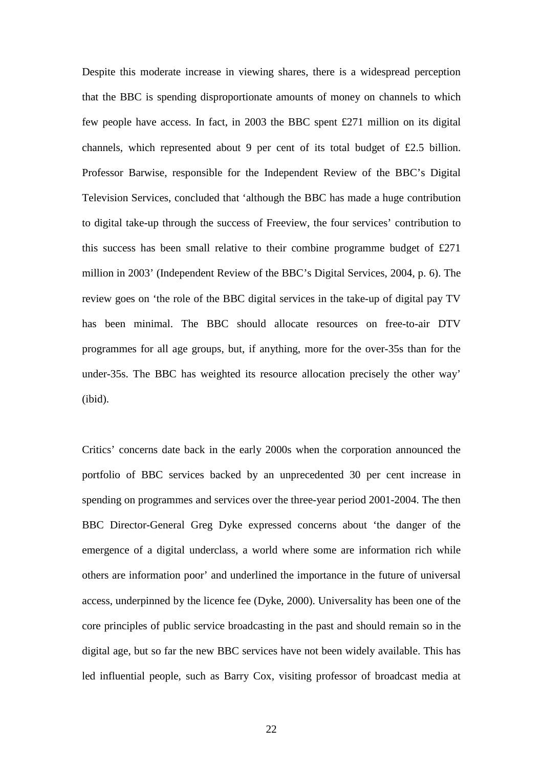Despite this moderate increase in viewing shares, there is a widespread perception that the BBC is spending disproportionate amounts of money on channels to which few people have access. In fact, in 2003 the BBC spent £271 million on its digital channels, which represented about 9 per cent of its total budget of £2.5 billion. Professor Barwise, responsible for the Independent Review of the BBC's Digital Television Services, concluded that 'although the BBC has made a huge contribution to digital take-up through the success of Freeview, the four services' contribution to this success has been small relative to their combine programme budget of £271 million in 2003' (Independent Review of the BBC's Digital Services, 2004, p. 6). The review goes on 'the role of the BBC digital services in the take-up of digital pay TV has been minimal. The BBC should allocate resources on free-to-air DTV programmes for all age groups, but, if anything, more for the over-35s than for the under-35s. The BBC has weighted its resource allocation precisely the other way' (ibid).

Critics' concerns date back in the early 2000s when the corporation announced the portfolio of BBC services backed by an unprecedented 30 per cent increase in spending on programmes and services over the three-year period 2001-2004. The then BBC Director-General Greg Dyke expressed concerns about 'the danger of the emergence of a digital underclass, a world where some are information rich while others are information poor' and underlined the importance in the future of universal access, underpinned by the licence fee (Dyke, 2000). Universality has been one of the core principles of public service broadcasting in the past and should remain so in the digital age, but so far the new BBC services have not been widely available. This has led influential people, such as Barry Cox, visiting professor of broadcast media at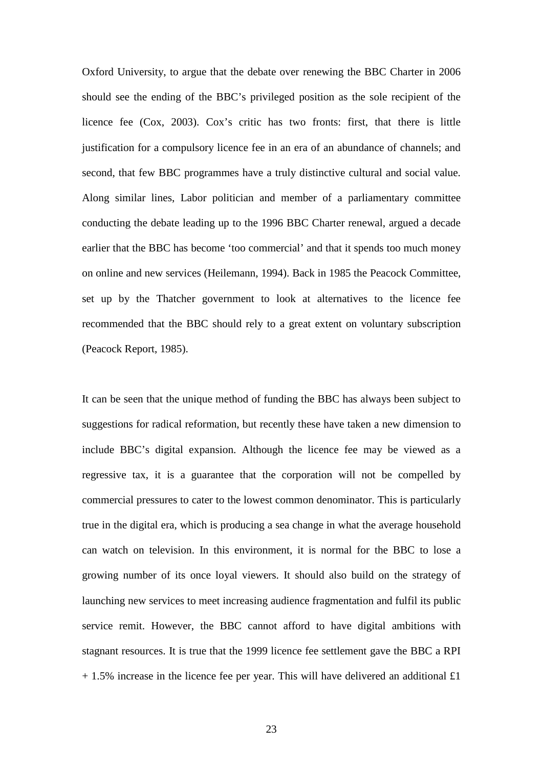Oxford University, to argue that the debate over renewing the BBC Charter in 2006 should see the ending of the BBC's privileged position as the sole recipient of the licence fee (Cox, 2003). Cox's critic has two fronts: first, that there is little justification for a compulsory licence fee in an era of an abundance of channels; and second, that few BBC programmes have a truly distinctive cultural and social value. Along similar lines, Labor politician and member of a parliamentary committee conducting the debate leading up to the 1996 BBC Charter renewal, argued a decade earlier that the BBC has become 'too commercial' and that it spends too much money on online and new services (Heilemann, 1994). Back in 1985 the Peacock Committee, set up by the Thatcher government to look at alternatives to the licence fee recommended that the BBC should rely to a great extent on voluntary subscription (Peacock Report, 1985).

It can be seen that the unique method of funding the BBC has always been subject to suggestions for radical reformation, but recently these have taken a new dimension to include BBC's digital expansion. Although the licence fee may be viewed as a regressive tax, it is a guarantee that the corporation will not be compelled by commercial pressures to cater to the lowest common denominator. This is particularly true in the digital era, which is producing a sea change in what the average household can watch on television. In this environment, it is normal for the BBC to lose a growing number of its once loyal viewers. It should also build on the strategy of launching new services to meet increasing audience fragmentation and fulfil its public service remit. However, the BBC cannot afford to have digital ambitions with stagnant resources. It is true that the 1999 licence fee settlement gave the BBC a RPI  $+ 1.5\%$  increase in the licence fee per year. This will have delivered an additional £1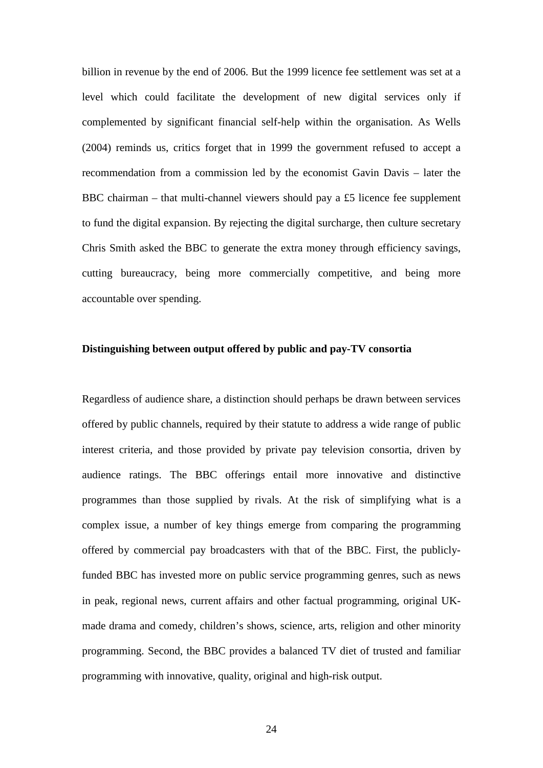billion in revenue by the end of 2006. But the 1999 licence fee settlement was set at a level which could facilitate the development of new digital services only if complemented by significant financial self-help within the organisation. As Wells (2004) reminds us, critics forget that in 1999 the government refused to accept a recommendation from a commission led by the economist Gavin Davis – later the BBC chairman – that multi-channel viewers should pay a £5 licence fee supplement to fund the digital expansion. By rejecting the digital surcharge, then culture secretary Chris Smith asked the BBC to generate the extra money through efficiency savings, cutting bureaucracy, being more commercially competitive, and being more accountable over spending.

# **Distinguishing between output offered by public and pay-TV consortia**

Regardless of audience share, a distinction should perhaps be drawn between services offered by public channels, required by their statute to address a wide range of public interest criteria, and those provided by private pay television consortia, driven by audience ratings. The BBC offerings entail more innovative and distinctive programmes than those supplied by rivals. At the risk of simplifying what is a complex issue, a number of key things emerge from comparing the programming offered by commercial pay broadcasters with that of the BBC. First, the publiclyfunded BBC has invested more on public service programming genres, such as news in peak, regional news, current affairs and other factual programming, original UKmade drama and comedy, children's shows, science, arts, religion and other minority programming. Second, the BBC provides a balanced TV diet of trusted and familiar programming with innovative, quality, original and high-risk output.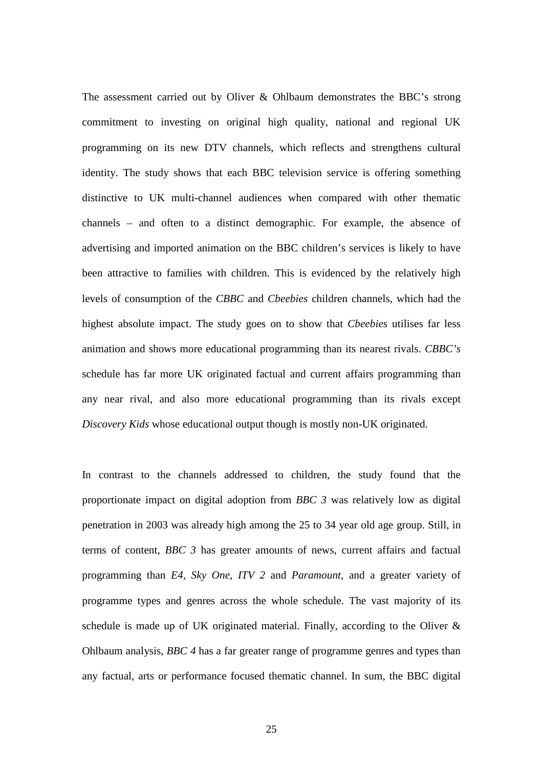The assessment carried out by Oliver & Ohlbaum demonstrates the BBC's strong commitment to investing on original high quality, national and regional UK programming on its new DTV channels, which reflects and strengthens cultural identity. The study shows that each BBC television service is offering something distinctive to UK multi-channel audiences when compared with other thematic channels – and often to a distinct demographic. For example, the absence of advertising and imported animation on the BBC children's services is likely to have been attractive to families with children. This is evidenced by the relatively high levels of consumption of the *CBBC* and *Cbeebies* children channels, which had the highest absolute impact. The study goes on to show that *Cbeebies* utilises far less animation and shows more educational programming than its nearest rivals. *CBBC's* schedule has far more UK originated factual and current affairs programming than any near rival, and also more educational programming than its rivals except *Discovery Kids* whose educational output though is mostly non-UK originated.

In contrast to the channels addressed to children, the study found that the proportionate impact on digital adoption from *BBC 3* was relatively low as digital penetration in 2003 was already high among the 25 to 34 year old age group. Still, in terms of content, *BBC 3* has greater amounts of news, current affairs and factual programming than *E4, Sky One, ITV 2* and *Paramount*, and a greater variety of programme types and genres across the whole schedule. The vast majority of its schedule is made up of UK originated material. Finally, according to the Oliver & Ohlbaum analysis, *BBC 4* has a far greater range of programme genres and types than any factual, arts or performance focused thematic channel. In sum, the BBC digital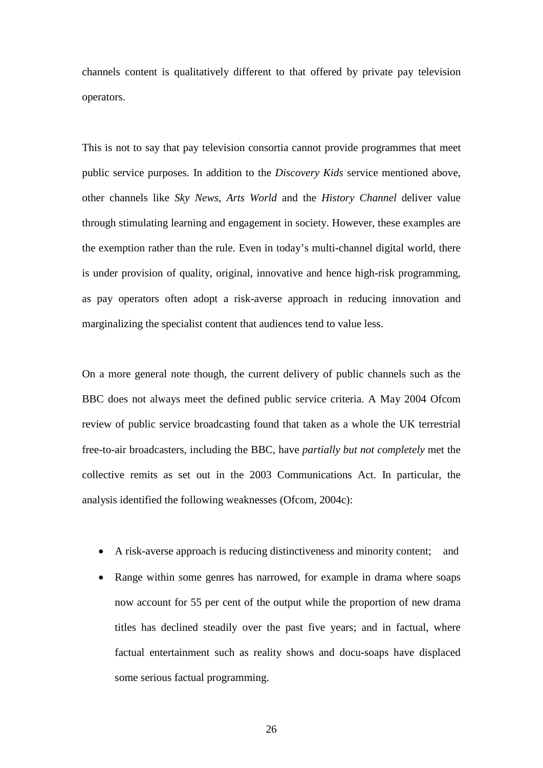channels content is qualitatively different to that offered by private pay television operators.

This is not to say that pay television consortia cannot provide programmes that meet public service purposes. In addition to the *Discovery Kids* service mentioned above, other channels like *Sky News, Arts World* and the *History Channel* deliver value through stimulating learning and engagement in society. However, these examples are the exemption rather than the rule. Even in today's multi-channel digital world, there is under provision of quality, original, innovative and hence high-risk programming, as pay operators often adopt a risk-averse approach in reducing innovation and marginalizing the specialist content that audiences tend to value less.

On a more general note though, the current delivery of public channels such as the BBC does not always meet the defined public service criteria. A May 2004 Ofcom review of public service broadcasting found that taken as a whole the UK terrestrial free-to-air broadcasters, including the BBC, have *partially but not completely* met the collective remits as set out in the 2003 Communications Act. In particular, the analysis identified the following weaknesses (Ofcom, 2004c):

- A risk-averse approach is reducing distinctiveness and minority content; and
- Range within some genres has narrowed, for example in drama where soaps now account for 55 per cent of the output while the proportion of new drama titles has declined steadily over the past five years; and in factual, where factual entertainment such as reality shows and docu-soaps have displaced some serious factual programming.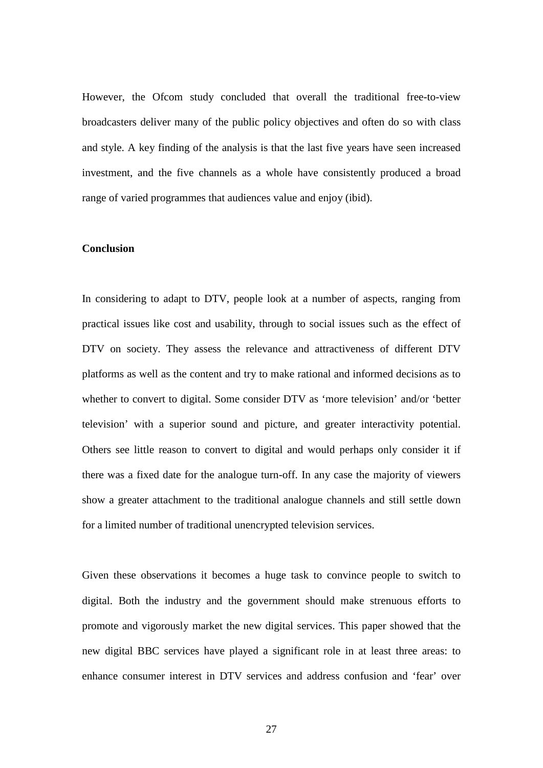However, the Ofcom study concluded that overall the traditional free-to-view broadcasters deliver many of the public policy objectives and often do so with class and style. A key finding of the analysis is that the last five years have seen increased investment, and the five channels as a whole have consistently produced a broad range of varied programmes that audiences value and enjoy (ibid).

#### **Conclusion**

In considering to adapt to DTV, people look at a number of aspects, ranging from practical issues like cost and usability, through to social issues such as the effect of DTV on society. They assess the relevance and attractiveness of different DTV platforms as well as the content and try to make rational and informed decisions as to whether to convert to digital. Some consider DTV as 'more television' and/or 'better television' with a superior sound and picture, and greater interactivity potential. Others see little reason to convert to digital and would perhaps only consider it if there was a fixed date for the analogue turn-off. In any case the majority of viewers show a greater attachment to the traditional analogue channels and still settle down for a limited number of traditional unencrypted television services.

Given these observations it becomes a huge task to convince people to switch to digital. Both the industry and the government should make strenuous efforts to promote and vigorously market the new digital services. This paper showed that the new digital BBC services have played a significant role in at least three areas: to enhance consumer interest in DTV services and address confusion and 'fear' over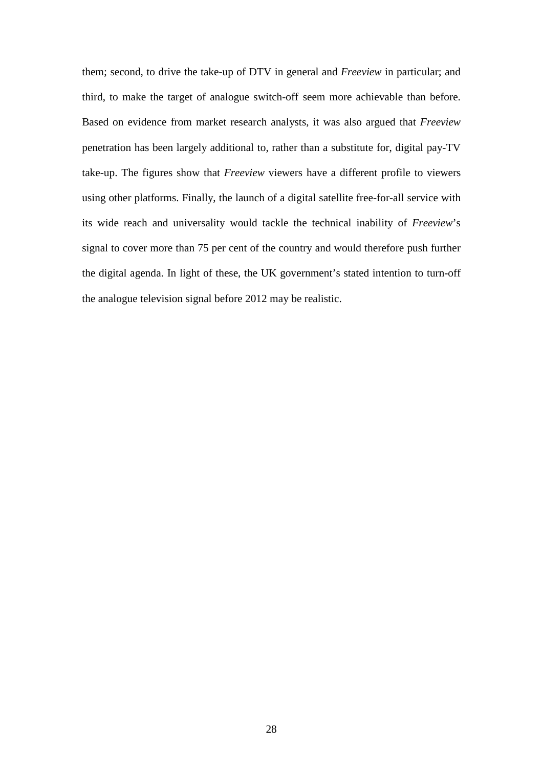them; second, to drive the take-up of DTV in general and *Freeview* in particular; and third, to make the target of analogue switch-off seem more achievable than before. Based on evidence from market research analysts, it was also argued that *Freeview* penetration has been largely additional to, rather than a substitute for, digital pay-TV take-up. The figures show that *Freeview* viewers have a different profile to viewers using other platforms. Finally, the launch of a digital satellite free-for-all service with its wide reach and universality would tackle the technical inability of *Freeview*'s signal to cover more than 75 per cent of the country and would therefore push further the digital agenda. In light of these, the UK government's stated intention to turn-off the analogue television signal before 2012 may be realistic.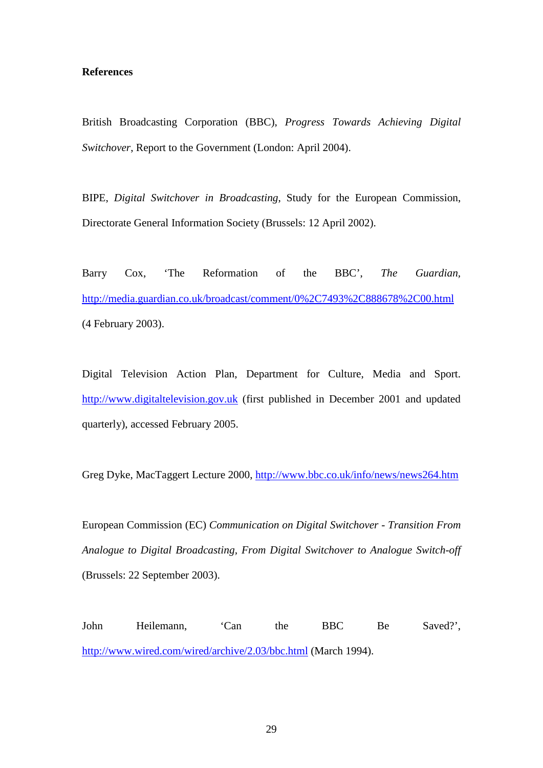## **References**

British Broadcasting Corporation (BBC), *Progress Towards Achieving Digital Switchover*, Report to the Government (London: April 2004).

BIPE, *Digital Switchover in Broadcasting*, Study for the European Commission, Directorate General Information Society (Brussels: 12 April 2002).

Barry Cox, 'The Reformation of the BBC', *The Guardian,* <http://media.guardian.co.uk/broadcast/comment/0%2C7493%2C888678%2C00.html> (4 February 2003).

Digital Television Action Plan, Department for Culture, Media and Sport. [http://www.digitaltelevision.gov.uk](http://www.digitaltelevision.gov.uk/) (first published in December 2001 and updated quarterly), accessed February 2005.

Greg Dyke, MacTaggert Lecture 2000,<http://www.bbc.co.uk/info/news/news264.htm>

European Commission (EC) *Communication on Digital Switchover - Transition From Analogue to Digital Broadcasting, From Digital Switchover to Analogue Switch-off* (Brussels: 22 September 2003).

John Heilemann, 'Can the BBC Be Saved?', <http://www.wired.com/wired/archive/2.03/bbc.html> (March 1994).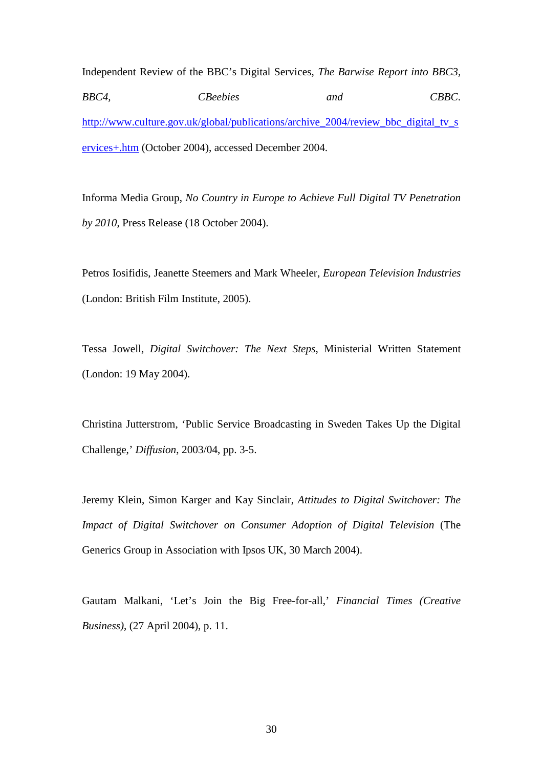Independent Review of the BBC's Digital Services, *The Barwise Report into BBC3, BBC4, CBeebies and CBBC*. [http://www.culture.gov.uk/global/publications/archive\\_2004/review\\_bbc\\_digital\\_tv\\_s](http://www.culture.gov.uk/global/publications/archive_2004/review_bbc_digital_tv_services+.htm) [ervices+.htm](http://www.culture.gov.uk/global/publications/archive_2004/review_bbc_digital_tv_services+.htm) (October 2004), accessed December 2004.

Informa Media Group, *No Country in Europe to Achieve Full Digital TV Penetration by 2010*, Press Release (18 October 2004).

Petros Iosifidis, Jeanette Steemers and Mark Wheeler, *European Television Industries* (London: British Film Institute, 2005).

Tessa Jowell, *Digital Switchover: The Next Steps*, Ministerial Written Statement (London: 19 May 2004).

Christina Jutterstrom, 'Public Service Broadcasting in Sweden Takes Up the Digital Challenge,' *Diffusion*, 2003/04, pp. 3-5.

Jeremy Klein, Simon Karger and Kay Sinclair, *Attitudes to Digital Switchover: The Impact of Digital Switchover on Consumer Adoption of Digital Television* (The Generics Group in Association with Ipsos UK, 30 March 2004).

Gautam Malkani, 'Let's Join the Big Free-for-all,' *Financial Times (Creative Business)*, (27 April 2004), p. 11.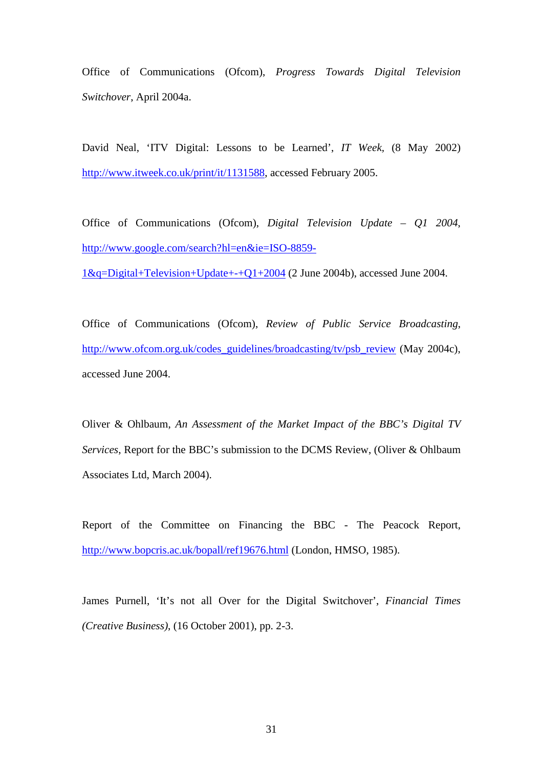Office of Communications (Ofcom), *Progress Towards Digital Television Switchover*, April 2004a.

David Neal, 'ITV Digital: Lessons to be Learned', *IT Week,* (8 May 2002) [http://www.itweek.co.uk/print/it/1131588,](http://www.itweek.co.uk/print/it/1131588) accessed February 2005.

Office of Communications (Ofcom), *Digital Television Update – Q1 2004*, [http://www.google.com/search?hl=en&ie=ISO-8859-](http://www.google.com/search?hl=en&ie=ISO-8859-1&q=Digital+Television+Update+-+Q1+2004)

[1&q=Digital+Television+Update+-+Q1+2004](http://www.google.com/search?hl=en&ie=ISO-8859-1&q=Digital+Television+Update+-+Q1+2004) (2 June 2004b), accessed June 2004.

Office of Communications (Ofcom), *Review of Public Service Broadcasting*, [http://www.ofcom.org.uk/codes\\_guidelines/broadcasting/tv/psb\\_review](http://www.ofcom.org.uk/codes_guidelines/broadcasting/tv/psb_review) (May 2004c), accessed June 2004.

Oliver & Ohlbaum, *An Assessment of the Market Impact of the BBC's Digital TV Services*, Report for the BBC's submission to the DCMS Review, (Oliver & Ohlbaum Associates Ltd, March 2004).

Report of the Committee on Financing the BBC - The Peacock Report, <http://www.bopcris.ac.uk/bopall/ref19676.html> (London, HMSO, 1985).

James Purnell, 'It's not all Over for the Digital Switchover', *Financial Times (Creative Business)*, (16 October 2001), pp. 2-3.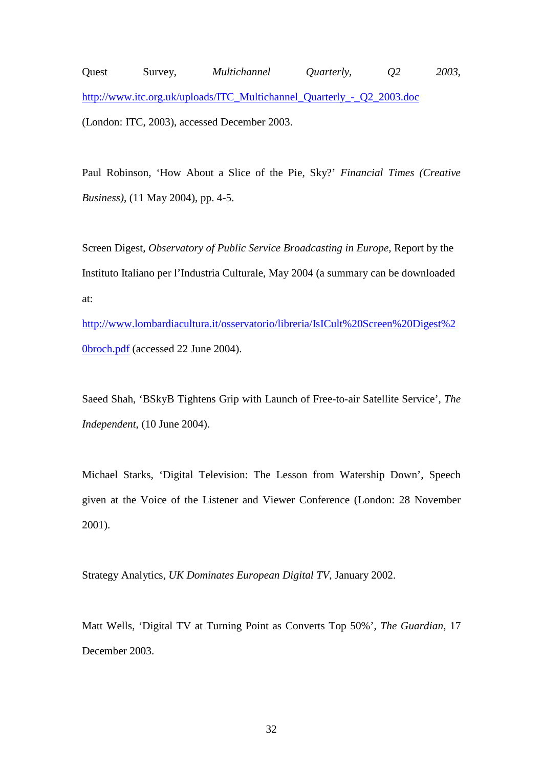Quest Survey, *Multichannel Quarterly, Q2 2003*, [http://www.itc.org.uk/uploads/ITC\\_Multichannel\\_Quarterly\\_-\\_Q2\\_2003.doc](http://www.itc.org.uk/uploads/ITC_Multichannel_Quarterly_-_Q2_2003.doc) (London: ITC, 2003), accessed December 2003.

Paul Robinson, 'How About a Slice of the Pie, Sky?' *Financial Times (Creative Business)*, (11 May 2004), pp. 4-5.

Screen Digest, *Observatory of Public Service Broadcasting in Europe*, Report by the Instituto Italiano per l'Industria Culturale, May 2004 (a summary can be downloaded at:

[http://www.lombardiacultura.it/osservatorio/libreria/IsICult%20Screen%20Digest%2](http://www.lombardiacultura.it/osservatorio/libreria/IsICult%20Screen%20Digest%20broch.pdf) [0broch.pdf](http://www.lombardiacultura.it/osservatorio/libreria/IsICult%20Screen%20Digest%20broch.pdf) (accessed 22 June 2004).

Saeed Shah, 'BSkyB Tightens Grip with Launch of Free-to-air Satellite Service', *The Independent*, (10 June 2004).

Michael Starks, 'Digital Television: The Lesson from Watership Down', Speech given at the Voice of the Listener and Viewer Conference (London: 28 November 2001).

Strategy Analytics, *UK Dominates European Digital TV*, January 2002.

Matt Wells, 'Digital TV at Turning Point as Converts Top 50%', *The Guardian*, 17 December 2003.